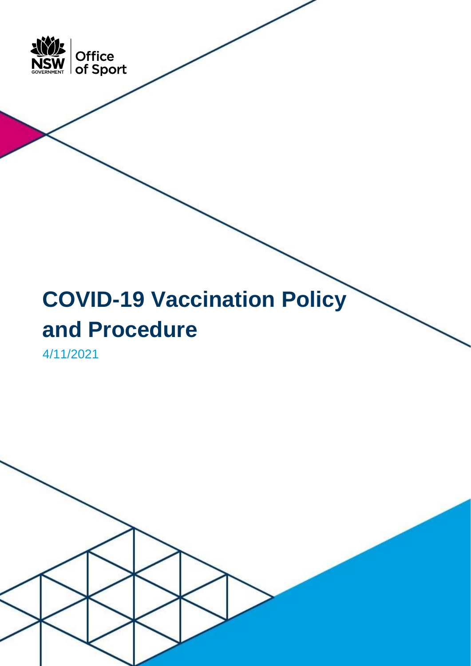

# **COVID-19 Vaccination Policy and Procedure**

4/11/2021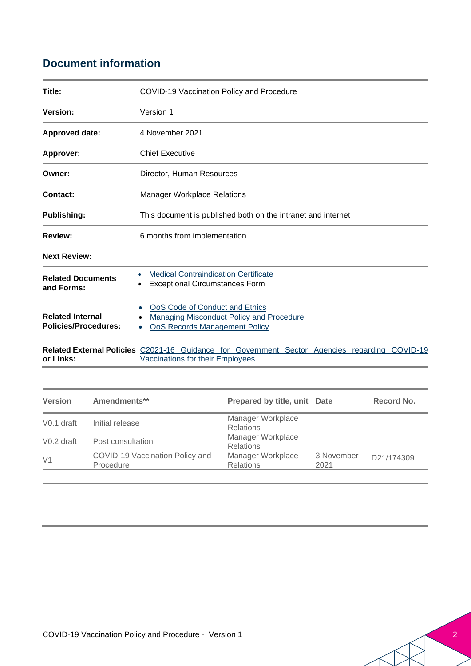### **Document information**

| Title:                                                 | COVID-19 Vaccination Policy and Procedure                                                                                                |
|--------------------------------------------------------|------------------------------------------------------------------------------------------------------------------------------------------|
| Version:                                               | Version 1                                                                                                                                |
| Approved date:                                         | 4 November 2021                                                                                                                          |
| <b>Approver:</b>                                       | <b>Chief Executive</b>                                                                                                                   |
| Owner:                                                 | Director, Human Resources                                                                                                                |
| Contact:                                               | <b>Manager Workplace Relations</b>                                                                                                       |
| <b>Publishing:</b>                                     | This document is published both on the intranet and internet                                                                             |
| <b>Review:</b>                                         | 6 months from implementation                                                                                                             |
| <b>Next Review:</b>                                    |                                                                                                                                          |
| <b>Related Documents</b><br>and Forms:                 | <b>Medical Contraindication Certificate</b><br><b>Exceptional Circumstances Form</b>                                                     |
| <b>Related Internal</b><br><b>Policies/Procedures:</b> | OoS Code of Conduct and Ethics<br><b>Managing Misconduct Policy and Procedure</b><br><b>OoS Records Management Policy</b>                |
| or Links:                                              | <b>Related External Policies</b> C2021-16 Guidance for Government Sector Agencies regarding COVID-19<br>Vaccinations for their Employees |

| Amendments**                                 |                                       |                    | Record No.                   |
|----------------------------------------------|---------------------------------------|--------------------|------------------------------|
| Initial release                              | Manager Workplace<br><b>Relations</b> |                    |                              |
| Post consultation                            | Manager Workplace<br><b>Relations</b> |                    |                              |
| COVID-19 Vaccination Policy and<br>Procedure | Manager Workplace<br><b>Relations</b> | 3 November<br>2021 | D21/174309                   |
|                                              |                                       |                    |                              |
|                                              |                                       |                    |                              |
|                                              |                                       |                    | Prepared by title, unit Date |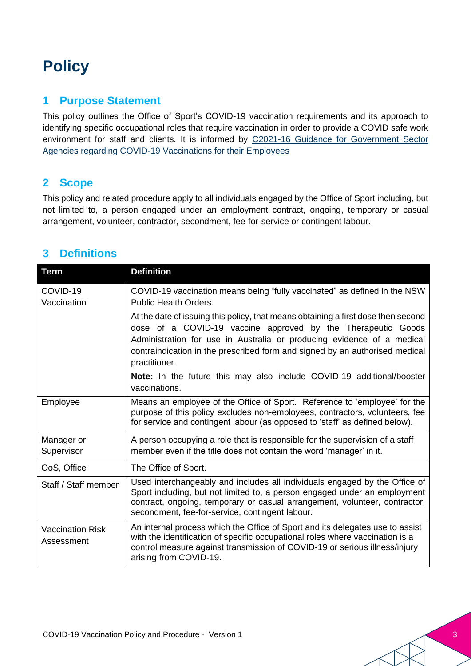## **Policy**

#### **1 Purpose Statement**

This policy outlines the Office of Sport's COVID-19 vaccination requirements and its approach to identifying specific occupational roles that require vaccination in order to provide a COVID safe work environment for staff and clients. It is informed by [C2021-16 Guidance for Government Sector](https://arp.nsw.gov.au/c2021-16-guidance-for-government-sector-agencies-regarding-covid-19-vaccinations-for-their-employees/)  [Agencies regarding COVID-19 Vaccinations for their Employees](https://arp.nsw.gov.au/c2021-16-guidance-for-government-sector-agencies-regarding-covid-19-vaccinations-for-their-employees/)

#### **2 Scope**

This policy and related procedure apply to all individuals engaged by the Office of Sport including, but not limited to, a person engaged under an employment contract, ongoing, temporary or casual arrangement, volunteer, contractor, secondment, fee-for-service or contingent labour.

#### **3 Definitions**

| <b>Term</b>                           | <b>Definition</b>                                                                                                                                                                                                                                                                                                           |
|---------------------------------------|-----------------------------------------------------------------------------------------------------------------------------------------------------------------------------------------------------------------------------------------------------------------------------------------------------------------------------|
| COVID-19<br>Vaccination               | COVID-19 vaccination means being "fully vaccinated" as defined in the NSW<br><b>Public Health Orders.</b>                                                                                                                                                                                                                   |
|                                       | At the date of issuing this policy, that means obtaining a first dose then second<br>dose of a COVID-19 vaccine approved by the Therapeutic Goods<br>Administration for use in Australia or producing evidence of a medical<br>contraindication in the prescribed form and signed by an authorised medical<br>practitioner. |
|                                       | Note: In the future this may also include COVID-19 additional/booster<br>vaccinations.                                                                                                                                                                                                                                      |
| Employee                              | Means an employee of the Office of Sport. Reference to 'employee' for the<br>purpose of this policy excludes non-employees, contractors, volunteers, fee<br>for service and contingent labour (as opposed to 'staff' as defined below).                                                                                     |
| Manager or<br>Supervisor              | A person occupying a role that is responsible for the supervision of a staff<br>member even if the title does not contain the word 'manager' in it.                                                                                                                                                                         |
| OoS, Office                           | The Office of Sport.                                                                                                                                                                                                                                                                                                        |
| Staff / Staff member                  | Used interchangeably and includes all individuals engaged by the Office of<br>Sport including, but not limited to, a person engaged under an employment<br>contract, ongoing, temporary or casual arrangement, volunteer, contractor,<br>secondment, fee-for-service, contingent labour.                                    |
| <b>Vaccination Risk</b><br>Assessment | An internal process which the Office of Sport and its delegates use to assist<br>with the identification of specific occupational roles where vaccination is a<br>control measure against transmission of COVID-19 or serious illness/injury<br>arising from COVID-19.                                                      |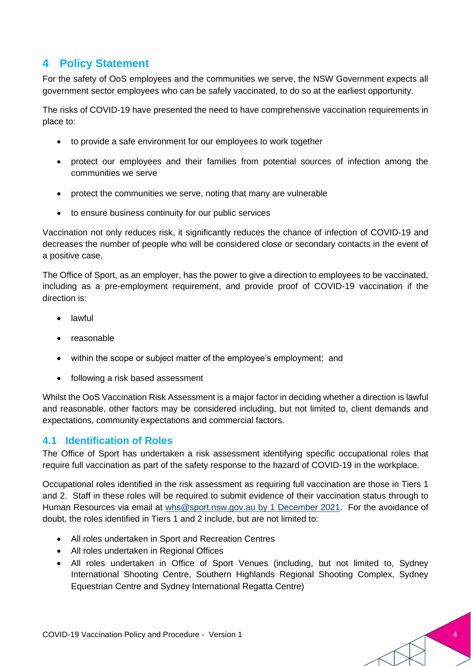#### **4 Policy Statement**

For the safety of OoS employees and the communities we serve, the NSW Government expects all government sector employees who can be safely vaccinated, to do so at the earliest opportunity.

The risks of COVID-19 have presented the need to have comprehensive vaccination requirements in place to:

- to provide a safe environment for our employees to work together
- protect our employees and their families from potential sources of infection among the communities we serve
- protect the communities we serve, noting that many are vulnerable
- to ensure business continuity for our public services

Vaccination not only reduces risk, it significantly reduces the chance of infection of COVID-19 and decreases the number of people who will be considered close or secondary contacts in the event of a positive case.

The Office of Sport, as an employer, has the power to give a direction to employees to be vaccinated, including as a pre-employment requirement, and provide proof of COVID-19 vaccination if the direction is:

- lawful
- reasonable
- within the scope or subject matter of the employee's employment; and
- following a risk based assessment

Whilst the OoS Vaccination Risk Assessment is a major factor in deciding whether a direction is lawful and reasonable, other factors may be considered including, but not limited to, client demands and expectations, community expectations and commercial factors.

#### **4.1 Identification of Roles**

The Office of Sport has undertaken a risk assessment identifying specific occupational roles that require full vaccination as part of the safety response to the hazard of COVID-19 in the workplace.

Occupational roles identified in the risk assessment as requiring full vaccination are those in Tiers 1 and 2. Staff in these roles will be required to submit evidence of their vaccination status through to Human Resources via email at [whs@sport.nsw.gov.au](mailto:whs@sport.nsw.gov.au) by 1 December 2021. For the avoidance of doubt, the roles identified in Tiers 1 and 2 include, but are not limited to:

- All roles undertaken in Sport and Recreation Centres
- All roles undertaken in Regional Offices
- All roles undertaken in Office of Sport Venues (including, but not limited to, Sydney International Shooting Centre, Southern Highlands Regional Shooting Complex, Sydney Equestrian Centre and Sydney International Regatta Centre)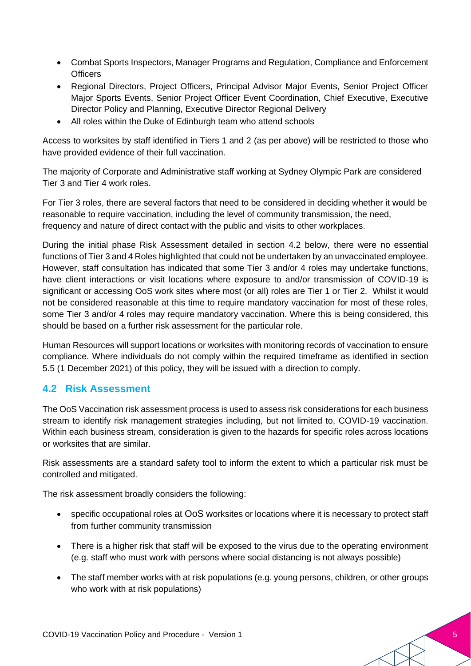- Combat Sports Inspectors, Manager Programs and Regulation, Compliance and Enforcement **Officers**
- Regional Directors, Project Officers, Principal Advisor Major Events, Senior Project Officer Major Sports Events, Senior Project Officer Event Coordination, Chief Executive, Executive Director Policy and Planning, Executive Director Regional Delivery
- All roles within the Duke of Edinburgh team who attend schools

Access to worksites by staff identified in Tiers 1 and 2 (as per above) will be restricted to those who have provided evidence of their full vaccination.

The majority of Corporate and Administrative staff working at Sydney Olympic Park are considered Tier 3 and Tier 4 work roles.

For Tier 3 roles, there are several factors that need to be considered in deciding whether it would be reasonable to require vaccination, including the level of community transmission, the need, frequency and nature of direct contact with the public and visits to other workplaces.

During the initial phase Risk Assessment detailed in section 4.2 below, there were no essential functions of Tier 3 and 4 Roles highlighted that could not be undertaken by an unvaccinated employee. However, staff consultation has indicated that some Tier 3 and/or 4 roles may undertake functions, have client interactions or visit locations where exposure to and/or transmission of COVID-19 is significant or accessing OoS work sites where most (or all) roles are Tier 1 or Tier 2. Whilst it would not be considered reasonable at this time to require mandatory vaccination for most of these roles, some Tier 3 and/or 4 roles may require mandatory vaccination. Where this is being considered, this should be based on a further risk assessment for the particular role.

Human Resources will support locations or worksites with monitoring records of vaccination to ensure compliance. Where individuals do not comply within the required timeframe as identified in section 5.5 (1 December 2021) of this policy, they will be issued with a direction to comply.

#### **4.2 Risk Assessment**

The OoS Vaccination risk assessment process is used to assess risk considerations for each business stream to identify risk management strategies including, but not limited to, COVID-19 vaccination. Within each business stream, consideration is given to the hazards for specific roles across locations or worksites that are similar.

Risk assessments are a standard safety tool to inform the extent to which a particular risk must be controlled and mitigated.

The risk assessment broadly considers the following:

- specific occupational roles at OoS worksites or locations where it is necessary to protect staff from further community transmission
- There is a higher risk that staff will be exposed to the virus due to the operating environment (e.g. staff who must work with persons where social distancing is not always possible)
- The staff member works with at risk populations (e.g. young persons, children, or other groups who work with at risk populations)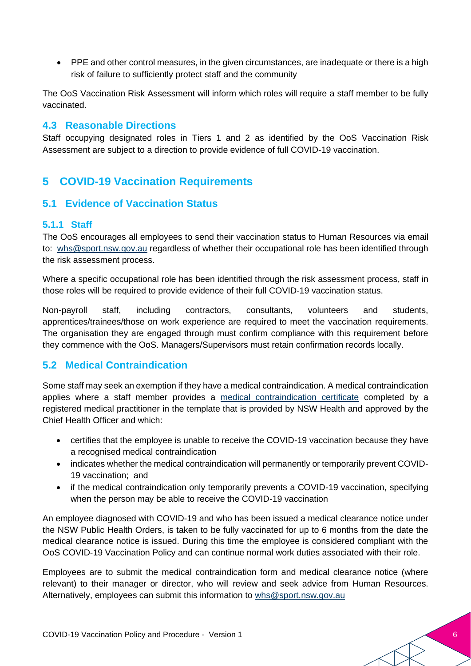• PPE and other control measures, in the given circumstances, are inadequate or there is a high risk of failure to sufficiently protect staff and the community

The OoS Vaccination Risk Assessment will inform which roles will require a staff member to be fully vaccinated.

#### **4.3 Reasonable Directions**

Staff occupying designated roles in Tiers 1 and 2 as identified by the OoS Vaccination Risk Assessment are subject to a direction to provide evidence of full COVID-19 vaccination.

#### **5 COVID-19 Vaccination Requirements**

#### **5.1 Evidence of Vaccination Status**

#### **5.1.1 Staff**

The OoS encourages all employees to send their vaccination status to Human Resources via email to: [whs@sport.nsw.gov.au](mailto:whs@sport.nsw.gov.au) regardless of whether their occupational role has been identified through the risk assessment process.

Where a specific occupational role has been identified through the risk assessment process, staff in those roles will be required to provide evidence of their full COVID-19 vaccination status.

Non-payroll staff, including contractors, consultants, volunteers and students, apprentices/trainees/those on work experience are required to meet the vaccination requirements. The organisation they are engaged through must confirm compliance with this requirement before they commence with the OoS. Managers/Supervisors must retain confirmation records locally.

#### **5.2 Medical Contraindication**

Some staff may seek an exemption if they have a medical contraindication. A medical contraindication applies where a staff member provides a [medical contraindication certificate](https://www.health.nsw.gov.au/Infectious/covid-19/vaccine/Documents/covid-19-vaccine-contraindication.pdf) completed by a registered medical practitioner in the template that is provided by NSW Health and approved by the Chief Health Officer and which:

- certifies that the employee is unable to receive the COVID-19 vaccination because they have a recognised medical contraindication
- indicates whether the medical contraindication will permanently or temporarily prevent COVID-19 vaccination; and
- if the medical contraindication only temporarily prevents a COVID-19 vaccination, specifying when the person may be able to receive the COVID-19 vaccination

An employee diagnosed with COVID-19 and who has been issued a medical clearance notice under the NSW Public Health Orders, is taken to be fully vaccinated for up to 6 months from the date the medical clearance notice is issued. During this time the employee is considered compliant with the OoS COVID-19 Vaccination Policy and can continue normal work duties associated with their role.

Employees are to submit the medical contraindication form and medical clearance notice (where relevant) to their manager or director, who will review and seek advice from Human Resources. Alternatively, employees can submit this information to [whs@sport.nsw.gov.au](mailto:workhealthandsafety@sport.nsw.gov.au)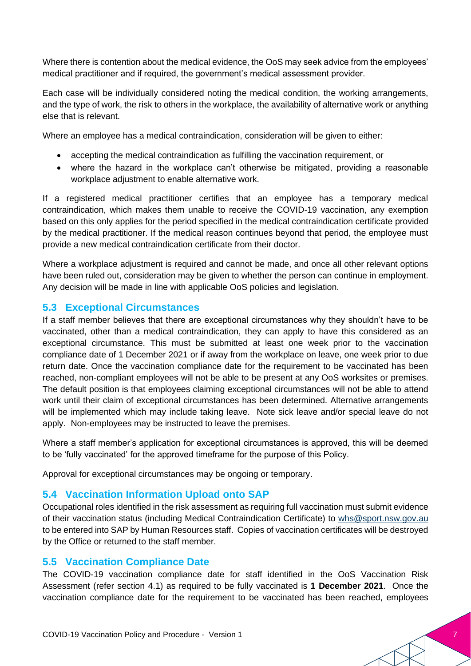Where there is contention about the medical evidence, the OoS may seek advice from the employees' medical practitioner and if required, the government's medical assessment provider.

Each case will be individually considered noting the medical condition, the working arrangements, and the type of work, the risk to others in the workplace, the availability of alternative work or anything else that is relevant.

Where an employee has a medical contraindication, consideration will be given to either:

- accepting the medical contraindication as fulfilling the vaccination requirement, or
- where the hazard in the workplace can't otherwise be mitigated, providing a reasonable workplace adjustment to enable alternative work.

If a registered medical practitioner certifies that an employee has a temporary medical contraindication, which makes them unable to receive the COVID-19 vaccination, any exemption based on this only applies for the period specified in the medical contraindication certificate provided by the medical practitioner. If the medical reason continues beyond that period, the employee must provide a new medical contraindication certificate from their doctor.

Where a workplace adjustment is required and cannot be made, and once all other relevant options have been ruled out, consideration may be given to whether the person can continue in employment. Any decision will be made in line with applicable OoS policies and legislation.

#### **5.3 Exceptional Circumstances**

If a staff member believes that there are exceptional circumstances why they shouldn't have to be vaccinated, other than a medical contraindication, they can apply to have this considered as an exceptional circumstance. This must be submitted at least one week prior to the vaccination compliance date of 1 December 2021 or if away from the workplace on leave, one week prior to due return date. Once the vaccination compliance date for the requirement to be vaccinated has been reached, non-compliant employees will not be able to be present at any OoS worksites or premises. The default position is that employees claiming exceptional circumstances will not be able to attend work until their claim of exceptional circumstances has been determined. Alternative arrangements will be implemented which may include taking leave. Note sick leave and/or special leave do not apply. Non-employees may be instructed to leave the premises.

Where a staff member's application for exceptional circumstances is approved, this will be deemed to be 'fully vaccinated' for the approved timeframe for the purpose of this Policy.

Approval for exceptional circumstances may be ongoing or temporary.

#### **5.4 Vaccination Information Upload onto SAP**

Occupational roles identified in the risk assessment as requiring full vaccination must submit evidence of their vaccination status (including Medical Contraindication Certificate) to [whs@sport.nsw.gov.au](mailto:whs@sport.nsw.gov.au) to be entered into SAP by Human Resources staff. Copies of vaccination certificates will be destroyed by the Office or returned to the staff member.

#### **5.5 Vaccination Compliance Date**

The COVID-19 vaccination compliance date for staff identified in the OoS Vaccination Risk Assessment (refer section 4.1) as required to be fully vaccinated is **1 December 2021**. Once the vaccination compliance date for the requirement to be vaccinated has been reached, employees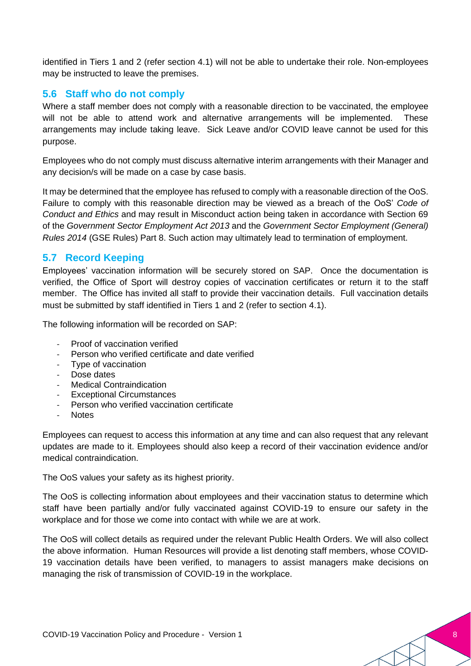identified in Tiers 1 and 2 (refer section 4.1) will not be able to undertake their role. Non-employees may be instructed to leave the premises.

#### **5.6 Staff who do not comply**

Where a staff member does not comply with a reasonable direction to be vaccinated, the employee will not be able to attend work and alternative arrangements will be implemented. These arrangements may include taking leave. Sick Leave and/or COVID leave cannot be used for this purpose.

Employees who do not comply must discuss alternative interim arrangements with their Manager and any decision/s will be made on a case by case basis.

It may be determined that the employee has refused to comply with a reasonable direction of the OoS. Failure to comply with this reasonable direction may be viewed as a breach of the OoS' *Code of Conduct and Ethics* and may result in Misconduct action being taken in accordance with Section 69 of the *Government Sector Employment Act 2013* and the *Government Sector Employment (General) Rules 2014* (GSE Rules) Part 8. Such action may ultimately lead to termination of employment.

#### **5.7 Record Keeping**

Employees' vaccination information will be securely stored on SAP. Once the documentation is verified, the Office of Sport will destroy copies of vaccination certificates or return it to the staff member. The Office has invited all staff to provide their vaccination details. Full vaccination details must be submitted by staff identified in Tiers 1 and 2 (refer to section 4.1).

The following information will be recorded on SAP:

- Proof of vaccination verified
- Person who verified certificate and date verified
- Type of vaccination
- Dose dates
- Medical Contraindication
- Exceptional Circumstances
- Person who verified vaccination certificate
- **Notes**

Employees can request to access this information at any time and can also request that any relevant updates are made to it. Employees should also keep a record of their vaccination evidence and/or medical contraindication.

The OoS values your safety as its highest priority.

The OoS is collecting information about employees and their vaccination status to determine which staff have been partially and/or fully vaccinated against COVID-19 to ensure our safety in the workplace and for those we come into contact with while we are at work.

The OoS will collect details as required under the relevant Public Health Orders. We will also collect the above information. Human Resources will provide a list denoting staff members, whose COVID-19 vaccination details have been verified, to managers to assist managers make decisions on managing the risk of transmission of COVID-19 in the workplace.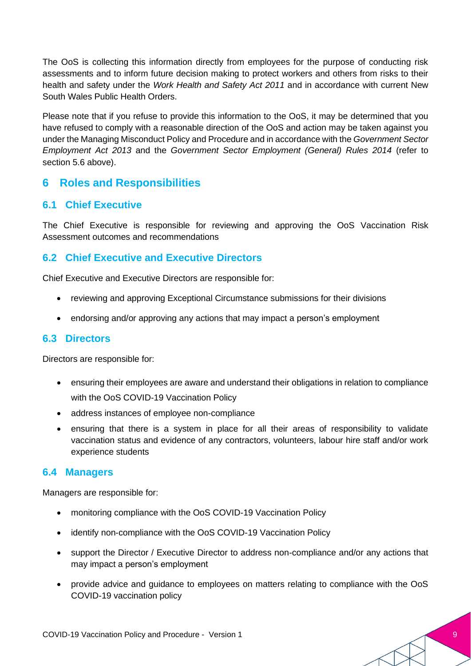The OoS is collecting this information directly from employees for the purpose of conducting risk assessments and to inform future decision making to protect workers and others from risks to their health and safety under the *Work Health and Safety Act 2011* and in accordance with current New South Wales Public Health Orders.

Please note that if you refuse to provide this information to the OoS, it may be determined that you have refused to comply with a reasonable direction of the OoS and action may be taken against you under the Managing Misconduct Policy and Procedure and in accordance with the *Government Sector Employment Act 2013* and the *Government Sector Employment (General) Rules 2014* (refer to section 5.6 above).

#### **6 Roles and Responsibilities**

#### **6.1 Chief Executive**

The Chief Executive is responsible for reviewing and approving the OoS Vaccination Risk Assessment outcomes and recommendations

#### **6.2 Chief Executive and Executive Directors**

Chief Executive and Executive Directors are responsible for:

- reviewing and approving Exceptional Circumstance submissions for their divisions
- endorsing and/or approving any actions that may impact a person's employment

#### **6.3 Directors**

Directors are responsible for:

- ensuring their employees are aware and understand their obligations in relation to compliance with the OoS COVID-19 Vaccination Policy
- address instances of employee non-compliance
- ensuring that there is a system in place for all their areas of responsibility to validate vaccination status and evidence of any contractors, volunteers, labour hire staff and/or work experience students

#### **6.4 Managers**

Managers are responsible for:

- monitoring compliance with the OoS COVID-19 Vaccination Policy
- identify non-compliance with the OoS COVID-19 Vaccination Policy
- support the Director / Executive Director to address non-compliance and/or any actions that may impact a person's employment
- provide advice and guidance to employees on matters relating to compliance with the OoS COVID-19 vaccination policy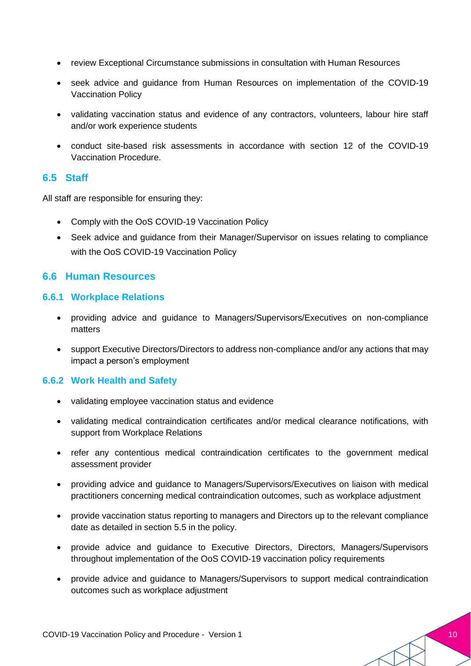- review Exceptional Circumstance submissions in consultation with Human Resources
- seek advice and guidance from Human Resources on implementation of the COVID-19 Vaccination Policy
- validating vaccination status and evidence of any contractors, volunteers, labour hire staff and/or work experience students
- conduct site-based risk assessments in accordance with section 12 of the COVID-19 Vaccination Procedure.

#### **6.5 Staff**

All staff are responsible for ensuring they:

- Comply with the OoS COVID-19 Vaccination Policy
- Seek advice and guidance from their Manager/Supervisor on issues relating to compliance with the OoS COVID-19 Vaccination Policy

#### **6.6 Human Resources**

#### **6.6.1 Workplace Relations**

- providing advice and guidance to Managers/Supervisors/Executives on non-compliance matters
- support Executive Directors/Directors to address non-compliance and/or any actions that may impact a person's employment

#### **6.6.2 Work Health and Safety**

- validating employee vaccination status and evidence
- validating medical contraindication certificates and/or medical clearance notifications, with support from Workplace Relations
- refer any contentious medical contraindication certificates to the government medical assessment provider
- providing advice and guidance to Managers/Supervisors/Executives on liaison with medical practitioners concerning medical contraindication outcomes, such as workplace adjustment
- provide vaccination status reporting to managers and Directors up to the relevant compliance date as detailed in section 5.5 in the policy.
- provide advice and guidance to Executive Directors, Directors, Managers/Supervisors throughout implementation of the OoS COVID-19 vaccination policy requirements
- provide advice and guidance to Managers/Supervisors to support medical contraindication outcomes such as workplace adjustment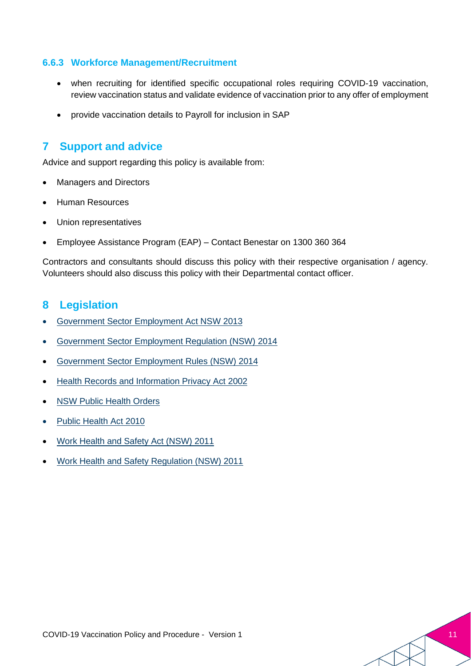#### **6.6.3 Workforce Management/Recruitment**

- when recruiting for identified specific occupational roles requiring COVID-19 vaccination, review vaccination status and validate evidence of vaccination prior to any offer of employment
- provide vaccination details to Payroll for inclusion in SAP

#### **7 Support and advice**

Advice and support regarding this policy is available from:

- Managers and Directors
- Human Resources
- Union representatives
- Employee Assistance Program (EAP) Contact Benestar on 1300 360 364

Contractors and consultants should discuss this policy with their respective organisation / agency. Volunteers should also discuss this policy with their Departmental contact officer.

#### **8 Legislation**

- [Government Sector Employment Act NSW 2013](https://legislation.nsw.gov.au/view/html/inforce/current/act-2013-040)
- [Government Sector Employment Regulation \(NSW\) 2014](https://legislation.nsw.gov.au/view/html/inforce/current/sl-2014-0060)
- [Government Sector Employment Rules \(NSW\) 2014](https://legislation.nsw.gov.au/view/html/inforce/current/sl-2014-0065)
- [Health Records and Information Privacy Act 2002](https://legislation.nsw.gov.au/view/html/inforce/current/act-2002-071)
- **[NSW Public Health Orders](https://www.bing.com/search?q=COVID-19+related+legislation+-+NSW+legislation&cvid=ca74f7fcd65c48c6a7086717ed44e58e&aqs=edge..69i57j69i60.1186j0j1&FORM=ANAB01&PC=U531)**
- [Public Health Act 2010](https://legislation.nsw.gov.au/view/html/inforce/current/act-2010-127)
- [Work Health and Safety Act \(NSW\) 2011](https://legislation.nsw.gov.au/view/html/inforce/current/act-2011-010)
- [Work Health and Safety Regulation \(NSW\) 2011](https://legislation.nsw.gov.au/view/html/inforce/current/sl-2017-0404)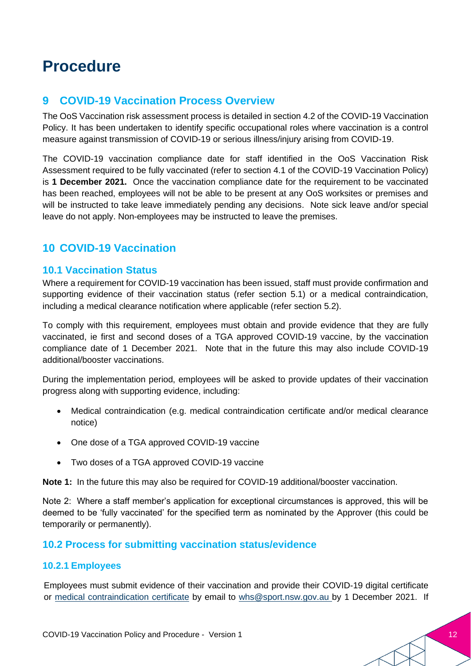### **Procedure**

#### **9 COVID-19 Vaccination Process Overview**

The OoS Vaccination risk assessment process is detailed in section 4.2 of the COVID-19 Vaccination Policy. It has been undertaken to identify specific occupational roles where vaccination is a control measure against transmission of COVID-19 or serious illness/injury arising from COVID-19.

The COVID-19 vaccination compliance date for staff identified in the OoS Vaccination Risk Assessment required to be fully vaccinated (refer to section 4.1 of the COVID-19 Vaccination Policy) is **1 December 2021.** Once the vaccination compliance date for the requirement to be vaccinated has been reached, employees will not be able to be present at any OoS worksites or premises and will be instructed to take leave immediately pending any decisions. Note sick leave and/or special leave do not apply. Non-employees may be instructed to leave the premises.

### **10 COVID-19 Vaccination**

#### **10.1 Vaccination Status**

Where a requirement for COVID-19 vaccination has been issued, staff must provide confirmation and supporting evidence of their vaccination status (refer section 5.1) or a medical contraindication, including a medical clearance notification where applicable (refer section 5.2).

To comply with this requirement, employees must obtain and provide evidence that they are fully vaccinated, ie first and second doses of a TGA approved COVID-19 vaccine, by the vaccination compliance date of 1 December 2021. Note that in the future this may also include COVID-19 additional/booster vaccinations.

During the implementation period, employees will be asked to provide updates of their vaccination progress along with supporting evidence, including:

- Medical contraindication (e.g. medical contraindication certificate and/or medical clearance notice)
- One dose of a TGA approved COVID-19 vaccine
- Two doses of a TGA approved COVID-19 vaccine

**Note 1:** In the future this may also be required for COVID-19 additional/booster vaccination.

Note 2: Where a staff member's application for exceptional circumstances is approved, this will be deemed to be 'fully vaccinated' for the specified term as nominated by the Approver (this could be temporarily or permanently).

#### **10.2 Process for submitting vaccination status/evidence**

#### **10.2.1 Employees**

Employees must submit evidence of their vaccination and provide their COVID-19 digital certificate or [medical contraindication certificate](mailto:medical%20contraindication%20certificate) by email to [whs@sport.nsw.gov.au](mailto:workhealthandsafety@sport.nsw.gov.au) by 1 December 2021. If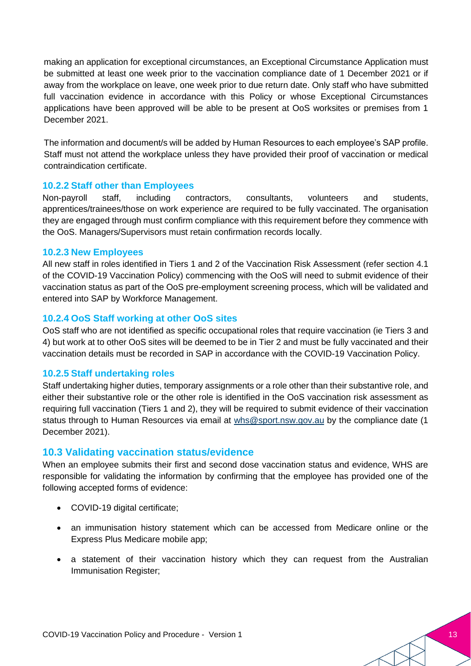making an application for exceptional circumstances, an Exceptional Circumstance Application must be submitted at least one week prior to the vaccination compliance date of 1 December 2021 or if away from the workplace on leave, one week prior to due return date. Only staff who have submitted full vaccination evidence in accordance with this Policy or whose Exceptional Circumstances applications have been approved will be able to be present at OoS worksites or premises from 1 December 2021.

The information and document/s will be added by Human Resources to each employee's SAP profile. Staff must not attend the workplace unless they have provided their proof of vaccination or medical contraindication certificate.

#### **10.2.2 Staff other than Employees**

Non-payroll staff, including contractors, consultants, volunteers and students, apprentices/trainees/those on work experience are required to be fully vaccinated. The organisation they are engaged through must confirm compliance with this requirement before they commence with the OoS. Managers/Supervisors must retain confirmation records locally.

#### **10.2.3 New Employees**

All new staff in roles identified in Tiers 1 and 2 of the Vaccination Risk Assessment (refer section 4.1 of the COVID-19 Vaccination Policy) commencing with the OoS will need to submit evidence of their vaccination status as part of the OoS pre-employment screening process, which will be validated and entered into SAP by Workforce Management.

#### **10.2.4 OoS Staff working at other OoS sites**

OoS staff who are not identified as specific occupational roles that require vaccination (ie Tiers 3 and 4) but work at to other OoS sites will be deemed to be in Tier 2 and must be fully vaccinated and their vaccination details must be recorded in SAP in accordance with the COVID-19 Vaccination Policy.

#### **10.2.5 Staff undertaking roles**

Staff undertaking higher duties, temporary assignments or a role other than their substantive role, and either their substantive role or the other role is identified in the OoS vaccination risk assessment as requiring full vaccination (Tiers 1 and 2), they will be required to submit evidence of their vaccination status through to Human Resources via email at [whs@sport.nsw.gov.au](mailto:whs@sport.nsw.gov.au) by the compliance date (1 December 2021).

#### **10.3 Validating vaccination status/evidence**

When an employee submits their first and second dose vaccination status and evidence, WHS are responsible for validating the information by confirming that the employee has provided one of the following accepted forms of evidence:

- COVID-19 digital certificate:
- an immunisation history statement which can be accessed from Medicare online or the Express Plus Medicare mobile app;
- a statement of their vaccination history which they can request from the Australian Immunisation Register;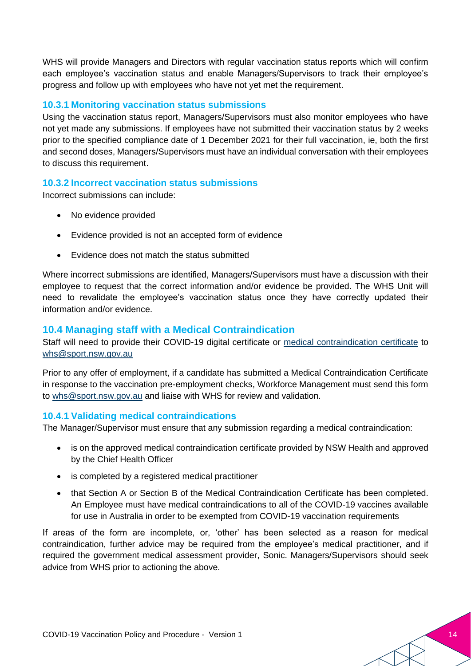WHS will provide Managers and Directors with regular vaccination status reports which will confirm each employee's vaccination status and enable Managers/Supervisors to track their employee's progress and follow up with employees who have not yet met the requirement.

#### **10.3.1 Monitoring vaccination status submissions**

Using the vaccination status report, Managers/Supervisors must also monitor employees who have not yet made any submissions. If employees have not submitted their vaccination status by 2 weeks prior to the specified compliance date of 1 December 2021 for their full vaccination, ie, both the first and second doses, Managers/Supervisors must have an individual conversation with their employees to discuss this requirement.

#### **10.3.2 Incorrect vaccination status submissions**

Incorrect submissions can include:

- No evidence provided
- Evidence provided is not an accepted form of evidence
- Evidence does not match the status submitted

Where incorrect submissions are identified, Managers/Supervisors must have a discussion with their employee to request that the correct information and/or evidence be provided. The WHS Unit will need to revalidate the employee's vaccination status once they have correctly updated their information and/or evidence.

#### **10.4 Managing staff with a Medical Contraindication**

Staff will need to provide their COVID-19 digital certificate or [medical contraindication certificate](https://www.health.nsw.gov.au/Infectious/covid-19/vaccine/Documents/covid-19-vaccine-contraindication.pdf) to [whs@sport.nsw.gov.au](mailto:workhealthandsafety@sport.nsw.gov.au)

Prior to any offer of employment, if a candidate has submitted a Medical Contraindication Certificate in response to the vaccination pre-employment checks, Workforce Management must send this form to [whs@sport.nsw.gov.au](mailto:workhealthandsafety@sport.nsw.gov.au) and liaise with WHS for review and validation.

#### **10.4.1 Validating medical contraindications**

The Manager/Supervisor must ensure that any submission regarding a medical contraindication:

- is on the approved medical contraindication certificate provided by NSW Health and approved by the Chief Health Officer
- is completed by a registered medical practitioner
- that Section A or Section B of the Medical Contraindication Certificate has been completed. An Employee must have medical contraindications to all of the COVID-19 vaccines available for use in Australia in order to be exempted from COVID-19 vaccination requirements

If areas of the form are incomplete, or, 'other' has been selected as a reason for medical contraindication, further advice may be required from the employee's medical practitioner, and if required the government medical assessment provider, Sonic. Managers/Supervisors should seek advice from WHS prior to actioning the above.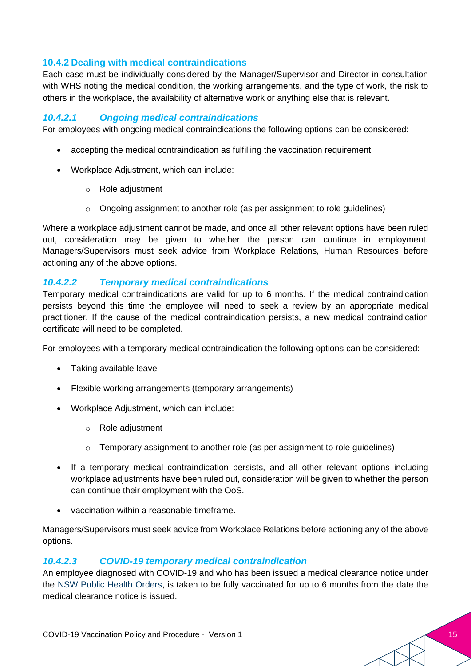#### **10.4.2 Dealing with medical contraindications**

Each case must be individually considered by the Manager/Supervisor and Director in consultation with WHS noting the medical condition, the working arrangements, and the type of work, the risk to others in the workplace, the availability of alternative work or anything else that is relevant.

#### *10.4.2.1 Ongoing medical contraindications*

For employees with ongoing medical contraindications the following options can be considered:

- accepting the medical contraindication as fulfilling the vaccination requirement
- Workplace Adjustment, which can include:
	- o Role adjustment
	- $\circ$  Ongoing assignment to another role (as per assignment to role guidelines)

Where a workplace adjustment cannot be made, and once all other relevant options have been ruled out, consideration may be given to whether the person can continue in employment. Managers/Supervisors must seek advice from Workplace Relations, Human Resources before actioning any of the above options.

#### *10.4.2.2 Temporary medical contraindications*

Temporary medical contraindications are valid for up to 6 months. If the medical contraindication persists beyond this time the employee will need to seek a review by an appropriate medical practitioner. If the cause of the medical contraindication persists, a new medical contraindication certificate will need to be completed.

For employees with a temporary medical contraindication the following options can be considered:

- Taking available leave
- Flexible working arrangements (temporary arrangements)
- Workplace Adjustment, which can include:
	- o Role adjustment
	- $\circ$  Temporary assignment to another role (as per assignment to role guidelines)
- If a temporary medical contraindication persists, and all other relevant options including workplace adjustments have been ruled out, consideration will be given to whether the person can continue their employment with the OoS.
- vaccination within a reasonable timeframe.

Managers/Supervisors must seek advice from Workplace Relations before actioning any of the above options.

#### *10.4.2.3 COVID-19 temporary medical contraindication*

An employee diagnosed with COVID-19 and who has been issued a medical clearance notice under the [NSW Public Health Orders,](https://www.health.nsw.gov.au/Infectious/covid-19/Pages/public-health-orders.aspx) is taken to be fully vaccinated for up to 6 months from the date the medical clearance notice is issued.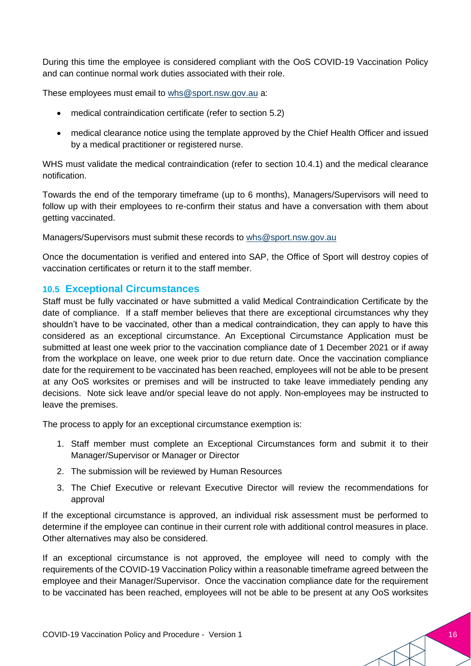During this time the employee is considered compliant with the OoS COVID-19 Vaccination Policy and can continue normal work duties associated with their role.

These employees must email to [whs@sport.nsw.gov.au](mailto:workhealthandsafety@sport.nsw.gov.au) a:

- medical contraindication certificate (refer to section 5.2)
- medical clearance notice using the template approved by the Chief Health Officer and issued by a medical practitioner or registered nurse.

WHS must validate the medical contraindication (refer to section 10.4.1) and the medical clearance notification.

Towards the end of the temporary timeframe (up to 6 months), Managers/Supervisors will need to follow up with their employees to re-confirm their status and have a conversation with them about getting vaccinated.

Managers/Supervisors must submit these records to [whs@sport.nsw.gov.au](mailto:workhealthandsafety@sport.nsw.gov.au)

Once the documentation is verified and entered into SAP, the Office of Sport will destroy copies of vaccination certificates or return it to the staff member.

#### **10.5 Exceptional Circumstances**

Staff must be fully vaccinated or have submitted a valid Medical Contraindication Certificate by the date of compliance. If a staff member believes that there are exceptional circumstances why they shouldn't have to be vaccinated, other than a medical contraindication, they can apply to have this considered as an exceptional circumstance. An Exceptional Circumstance Application must be submitted at least one week prior to the vaccination compliance date of 1 December 2021 or if away from the workplace on leave, one week prior to due return date. Once the vaccination compliance date for the requirement to be vaccinated has been reached, employees will not be able to be present at any OoS worksites or premises and will be instructed to take leave immediately pending any decisions. Note sick leave and/or special leave do not apply. Non-employees may be instructed to leave the premises.

The process to apply for an exceptional circumstance exemption is:

- 1. Staff member must complete an Exceptional Circumstances form and submit it to their Manager/Supervisor or Manager or Director
- 2. The submission will be reviewed by Human Resources
- 3. The Chief Executive or relevant Executive Director will review the recommendations for approval

If the exceptional circumstance is approved, an individual risk assessment must be performed to determine if the employee can continue in their current role with additional control measures in place. Other alternatives may also be considered.

If an exceptional circumstance is not approved, the employee will need to comply with the requirements of the COVID-19 Vaccination Policy within a reasonable timeframe agreed between the employee and their Manager/Supervisor. Once the vaccination compliance date for the requirement to be vaccinated has been reached, employees will not be able to be present at any OoS worksites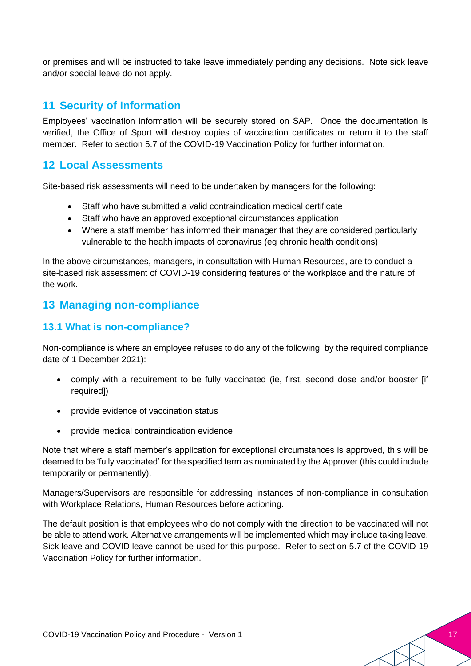or premises and will be instructed to take leave immediately pending any decisions. Note sick leave and/or special leave do not apply.

#### **11 Security of Information**

Employees' vaccination information will be securely stored on SAP. Once the documentation is verified, the Office of Sport will destroy copies of vaccination certificates or return it to the staff member. Refer to section 5.7 of the COVID-19 Vaccination Policy for further information.

#### **12 Local Assessments**

Site-based risk assessments will need to be undertaken by managers for the following:

- Staff who have submitted a valid contraindication medical certificate
- Staff who have an approved exceptional circumstances application
- Where a staff member has informed their manager that they are considered particularly vulnerable to the health impacts of coronavirus (eg chronic health conditions)

In the above circumstances, managers, in consultation with Human Resources, are to conduct a site-based risk assessment of COVID-19 considering features of the workplace and the nature of the work.

#### **13 Managing non-compliance**

#### **13.1 What is non-compliance?**

Non-compliance is where an employee refuses to do any of the following, by the required compliance date of 1 December 2021):

- comply with a requirement to be fully vaccinated (ie, first, second dose and/or booster [if required])
- provide evidence of vaccination status
- provide medical contraindication evidence

Note that where a staff member's application for exceptional circumstances is approved, this will be deemed to be 'fully vaccinated' for the specified term as nominated by the Approver (this could include temporarily or permanently).

Managers/Supervisors are responsible for addressing instances of non-compliance in consultation with Workplace Relations, Human Resources before actioning.

The default position is that employees who do not comply with the direction to be vaccinated will not be able to attend work. Alternative arrangements will be implemented which may include taking leave. Sick leave and COVID leave cannot be used for this purpose. Refer to section 5.7 of the COVID-19 Vaccination Policy for further information.